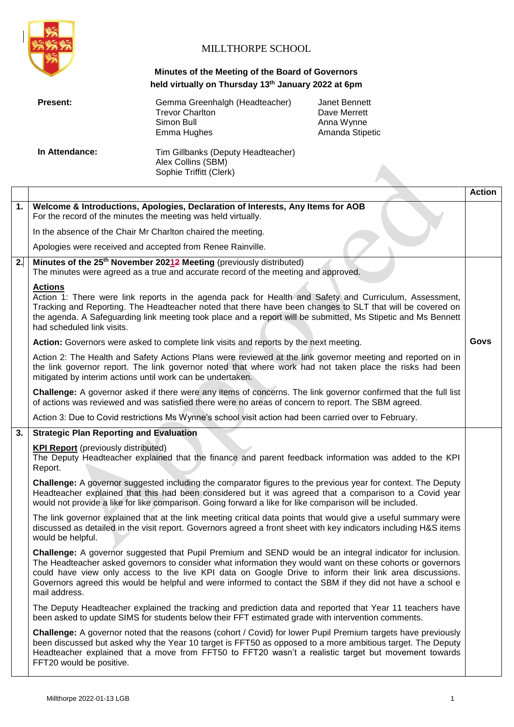

# MILLTHORPE SCHOOL

## **Minutes of the Meeting of the Board of Governors held virtually on Thursday 13th January 2022 at 6pm**

| <b>Present:</b> | Gemma Greenhalgh (Headteacher)<br><b>Trevor Charlton</b><br>Simon Bull<br>Emma Hughes | Janet Bennett<br>Dave Merrett<br>Anna Wynne<br>Amanda Stipetic |
|-----------------|---------------------------------------------------------------------------------------|----------------------------------------------------------------|
| In Attendance:  | Tim Gillbanks (Deputy Headteacher)<br>Alex Collins (SBM)<br>Sophie Triffitt (Clerk)   |                                                                |

|    |                                                                                                                                                                                                                                                                                                                                                                                                                                                                    | <b>Action</b> |
|----|--------------------------------------------------------------------------------------------------------------------------------------------------------------------------------------------------------------------------------------------------------------------------------------------------------------------------------------------------------------------------------------------------------------------------------------------------------------------|---------------|
| 1. | Welcome & Introductions, Apologies, Declaration of Interests, Any Items for AOB<br>For the record of the minutes the meeting was held virtually.                                                                                                                                                                                                                                                                                                                   |               |
|    | In the absence of the Chair Mr Charlton chaired the meeting.                                                                                                                                                                                                                                                                                                                                                                                                       |               |
|    | Apologies were received and accepted from Renee Rainville.                                                                                                                                                                                                                                                                                                                                                                                                         |               |
| 2. | Minutes of the 25 <sup>th</sup> November 20212 Meeting (previously distributed)<br>The minutes were agreed as a true and accurate record of the meeting and approved.                                                                                                                                                                                                                                                                                              |               |
|    | <b>Actions</b><br>Action 1: There were link reports in the agenda pack for Health and Safety and Curriculum, Assessment,<br>Tracking and Reporting. The Headteacher noted that there have been changes to SLT that will be covered on<br>the agenda. A Safeguarding link meeting took place and a report will be submitted, Ms Stipetic and Ms Bennett<br>had scheduled link visits.                                                                               |               |
|    | Action: Governors were asked to complete link visits and reports by the next meeting.                                                                                                                                                                                                                                                                                                                                                                              | Govs          |
|    | Action 2: The Health and Safety Actions Plans were reviewed at the link governor meeting and reported on in<br>the link governor report. The link governor noted that where work had not taken place the risks had been<br>mitigated by interim actions until work can be undertaken.                                                                                                                                                                              |               |
|    | Challenge: A governor asked if there were any items of concerns. The link governor confirmed that the full list<br>of actions was reviewed and was satisfied there were no areas of concern to report. The SBM agreed.                                                                                                                                                                                                                                             |               |
|    | Action 3: Due to Covid restrictions Ms Wynne's school visit action had been carried over to February.                                                                                                                                                                                                                                                                                                                                                              |               |
| 3. | <b>Strategic Plan Reporting and Evaluation</b>                                                                                                                                                                                                                                                                                                                                                                                                                     |               |
|    | <b>KPI Report</b> (previously distributed)<br>The Deputy Headteacher explained that the finance and parent feedback information was added to the KPI<br>Report.                                                                                                                                                                                                                                                                                                    |               |
|    | Challenge: A governor suggested including the comparator figures to the previous year for context. The Deputy<br>Headteacher explained that this had been considered but it was agreed that a comparison to a Covid year<br>would not provide a like for like comparison. Going forward a like for like comparison will be included.                                                                                                                               |               |
|    | The link governor explained that at the link meeting critical data points that would give a useful summary were<br>discussed as detailed in the visit report. Governors agreed a front sheet with key indicators including H&S items<br>would be helpful.                                                                                                                                                                                                          |               |
|    | Challenge: A governor suggested that Pupil Premium and SEND would be an integral indicator for inclusion.<br>The Headteacher asked governors to consider what information they would want on these cohorts or governors<br>could have view only access to the live KPI data on Google Drive to inform their link area discussions.<br>Governors agreed this would be helpful and were informed to contact the SBM if they did not have a school e<br>mail address. |               |
|    | The Deputy Headteacher explained the tracking and prediction data and reported that Year 11 teachers have<br>been asked to update SIMS for students below their FFT estimated grade with intervention comments.                                                                                                                                                                                                                                                    |               |
|    | Challenge: A governor noted that the reasons (cohort / Covid) for lower Pupil Premium targets have previously<br>been discussed but asked why the Year 10 target is FFT50 as opposed to a more ambitious target. The Deputy<br>Headteacher explained that a move from FFT50 to FFT20 wasn't a realistic target but movement towards<br>FFT20 would be positive.                                                                                                    |               |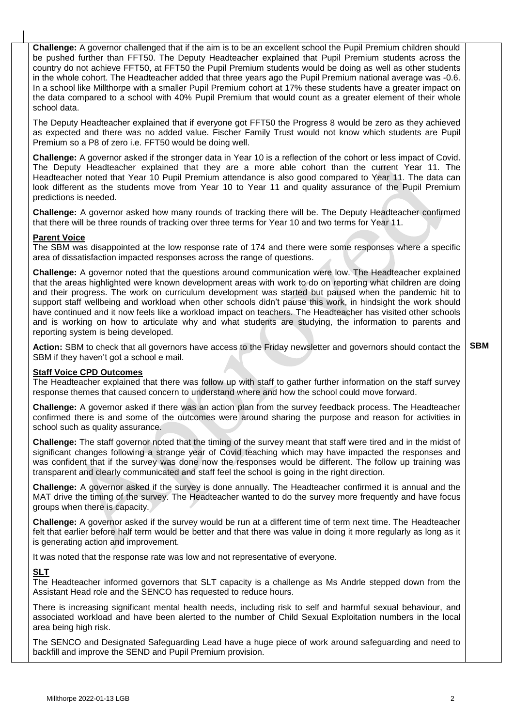**Challenge:** A governor challenged that if the aim is to be an excellent school the Pupil Premium children should be pushed further than FFT50. The Deputy Headteacher explained that Pupil Premium students across the country do not achieve FFT50, at FFT50 the Pupil Premium students would be doing as well as other students in the whole cohort. The Headteacher added that three years ago the Pupil Premium national average was -0.6. In a school like Millthorpe with a smaller Pupil Premium cohort at 17% these students have a greater impact on the data compared to a school with 40% Pupil Premium that would count as a greater element of their whole school data.

The Deputy Headteacher explained that if everyone got FFT50 the Progress 8 would be zero as they achieved as expected and there was no added value. Fischer Family Trust would not know which students are Pupil Premium so a P8 of zero i.e. FFT50 would be doing well.

**Challenge:** A governor asked if the stronger data in Year 10 is a reflection of the cohort or less impact of Covid. The Deputy Headteacher explained that they are a more able cohort than the current Year 11. The Headteacher noted that Year 10 Pupil Premium attendance is also good compared to Year 11. The data can look different as the students move from Year 10 to Year 11 and quality assurance of the Pupil Premium predictions is needed.

**Challenge:** A governor asked how many rounds of tracking there will be. The Deputy Headteacher confirmed that there will be three rounds of tracking over three terms for Year 10 and two terms for Year 11.

#### **Parent Voice**

The SBM was disappointed at the low response rate of 174 and there were some responses where a specific area of dissatisfaction impacted responses across the range of questions.

**Challenge:** A governor noted that the questions around communication were low. The Headteacher explained that the areas highlighted were known development areas with work to do on reporting what children are doing and their progress. The work on curriculum development was started but paused when the pandemic hit to support staff wellbeing and workload when other schools didn't pause this work, in hindsight the work should have continued and it now feels like a workload impact on teachers. The Headteacher has visited other schools and is working on how to articulate why and what students are studying, the information to parents and reporting system is being developed.

**Action:** SBM to check that all governors have access to the Friday newsletter and governors should contact the SBM if they haven't got a school e mail. **SBM**

#### **Staff Voice CPD Outcomes**

The Headteacher explained that there was follow up with staff to gather further information on the staff survey response themes that caused concern to understand where and how the school could move forward.

**Challenge:** A governor asked if there was an action plan from the survey feedback process. The Headteacher confirmed there is and some of the outcomes were around sharing the purpose and reason for activities in school such as quality assurance.

**Challenge:** The staff governor noted that the timing of the survey meant that staff were tired and in the midst of significant changes following a strange year of Covid teaching which may have impacted the responses and was confident that if the survey was done now the responses would be different. The follow up training was transparent and clearly communicated and staff feel the school is going in the right direction.

**Challenge:** A governor asked if the survey is done annually. The Headteacher confirmed it is annual and the MAT drive the timing of the survey. The Headteacher wanted to do the survey more frequently and have focus groups when there is capacity.

**Challenge:** A governor asked if the survey would be run at a different time of term next time. The Headteacher felt that earlier before half term would be better and that there was value in doing it more regularly as long as it is generating action and improvement.

It was noted that the response rate was low and not representative of everyone.

#### **SLT**

The Headteacher informed governors that SLT capacity is a challenge as Ms Andrle stepped down from the Assistant Head role and the SENCO has requested to reduce hours.

There is increasing significant mental health needs, including risk to self and harmful sexual behaviour, and associated workload and have been alerted to the number of Child Sexual Exploitation numbers in the local area being high risk.

The SENCO and Designated Safeguarding Lead have a huge piece of work around safeguarding and need to backfill and improve the SEND and Pupil Premium provision.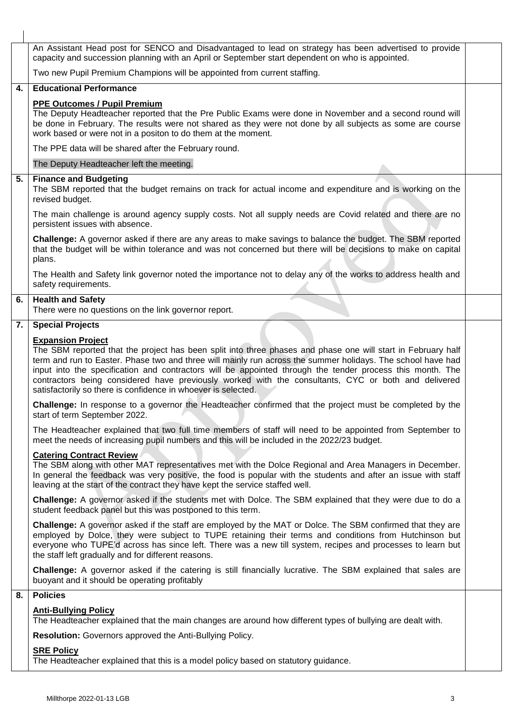|    | An Assistant Head post for SENCO and Disadvantaged to lead on strategy has been advertised to provide<br>capacity and succession planning with an April or September start dependent on who is appointed.                                                                                                                                                                                                                                                                                                                                    |  |  |
|----|----------------------------------------------------------------------------------------------------------------------------------------------------------------------------------------------------------------------------------------------------------------------------------------------------------------------------------------------------------------------------------------------------------------------------------------------------------------------------------------------------------------------------------------------|--|--|
|    | Two new Pupil Premium Champions will be appointed from current staffing.                                                                                                                                                                                                                                                                                                                                                                                                                                                                     |  |  |
| 4. | <b>Educational Performance</b>                                                                                                                                                                                                                                                                                                                                                                                                                                                                                                               |  |  |
|    | <b>PPE Outcomes / Pupil Premium</b><br>The Deputy Headteacher reported that the Pre Public Exams were done in November and a second round will<br>be done in February. The results were not shared as they were not done by all subjects as some are course<br>work based or were not in a positon to do them at the moment.                                                                                                                                                                                                                 |  |  |
|    | The PPE data will be shared after the February round.                                                                                                                                                                                                                                                                                                                                                                                                                                                                                        |  |  |
|    | The Deputy Headteacher left the meeting.                                                                                                                                                                                                                                                                                                                                                                                                                                                                                                     |  |  |
| 5. | <b>Finance and Budgeting</b><br>The SBM reported that the budget remains on track for actual income and expenditure and is working on the<br>revised budget.                                                                                                                                                                                                                                                                                                                                                                                 |  |  |
|    | The main challenge is around agency supply costs. Not all supply needs are Covid related and there are no<br>persistent issues with absence.                                                                                                                                                                                                                                                                                                                                                                                                 |  |  |
|    | Challenge: A governor asked if there are any areas to make savings to balance the budget. The SBM reported<br>that the budget will be within tolerance and was not concerned but there will be decisions to make on capital<br>plans.                                                                                                                                                                                                                                                                                                        |  |  |
|    | The Health and Safety link governor noted the importance not to delay any of the works to address health and<br>safety requirements.                                                                                                                                                                                                                                                                                                                                                                                                         |  |  |
| 6. | <b>Health and Safety</b><br>There were no questions on the link governor report.                                                                                                                                                                                                                                                                                                                                                                                                                                                             |  |  |
| 7. | <b>Special Projects</b>                                                                                                                                                                                                                                                                                                                                                                                                                                                                                                                      |  |  |
|    | <b>Expansion Project</b><br>The SBM reported that the project has been split into three phases and phase one will start in February half<br>term and run to Easter. Phase two and three will mainly run across the summer holidays. The school have had<br>input into the specification and contractors will be appointed through the tender process this month. The<br>contractors being considered have previously worked with the consultants, CYC or both and delivered<br>satisfactorily so there is confidence in whoever is selected. |  |  |
|    | Challenge: In response to a governor the Headteacher confirmed that the project must be completed by the<br>start of term September 2022.                                                                                                                                                                                                                                                                                                                                                                                                    |  |  |
|    | The Headteacher explained that two full time members of staff will need to be appointed from September to<br>meet the needs of increasing pupil numbers and this will be included in the 2022/23 budget.                                                                                                                                                                                                                                                                                                                                     |  |  |
|    | <b>Catering Contract Review</b><br>The SBM along with other MAT representatives met with the Dolce Regional and Area Managers in December.<br>In general the feedback was very positive, the food is popular with the students and after an issue with staff<br>leaving at the start of the contract they have kept the service staffed well.                                                                                                                                                                                                |  |  |
|    | Challenge: A governor asked if the students met with Dolce. The SBM explained that they were due to do a<br>student feedback panel but this was postponed to this term.                                                                                                                                                                                                                                                                                                                                                                      |  |  |
|    | Challenge: A governor asked if the staff are employed by the MAT or Dolce. The SBM confirmed that they are<br>employed by Dolce, they were subject to TUPE retaining their terms and conditions from Hutchinson but<br>everyone who TUPE'd across has since left. There was a new till system, recipes and processes to learn but<br>the staff left gradually and for different reasons.                                                                                                                                                     |  |  |
|    | Challenge: A governor asked if the catering is still financially lucrative. The SBM explained that sales are<br>buoyant and it should be operating profitably                                                                                                                                                                                                                                                                                                                                                                                |  |  |
| 8. | <b>Policies</b>                                                                                                                                                                                                                                                                                                                                                                                                                                                                                                                              |  |  |
|    | <b>Anti-Bullying Policy</b><br>The Headteacher explained that the main changes are around how different types of bullying are dealt with.                                                                                                                                                                                                                                                                                                                                                                                                    |  |  |
|    | Resolution: Governors approved the Anti-Bullying Policy.                                                                                                                                                                                                                                                                                                                                                                                                                                                                                     |  |  |
|    | <b>SRE Policy</b><br>The Headteacher explained that this is a model policy based on statutory guidance.                                                                                                                                                                                                                                                                                                                                                                                                                                      |  |  |